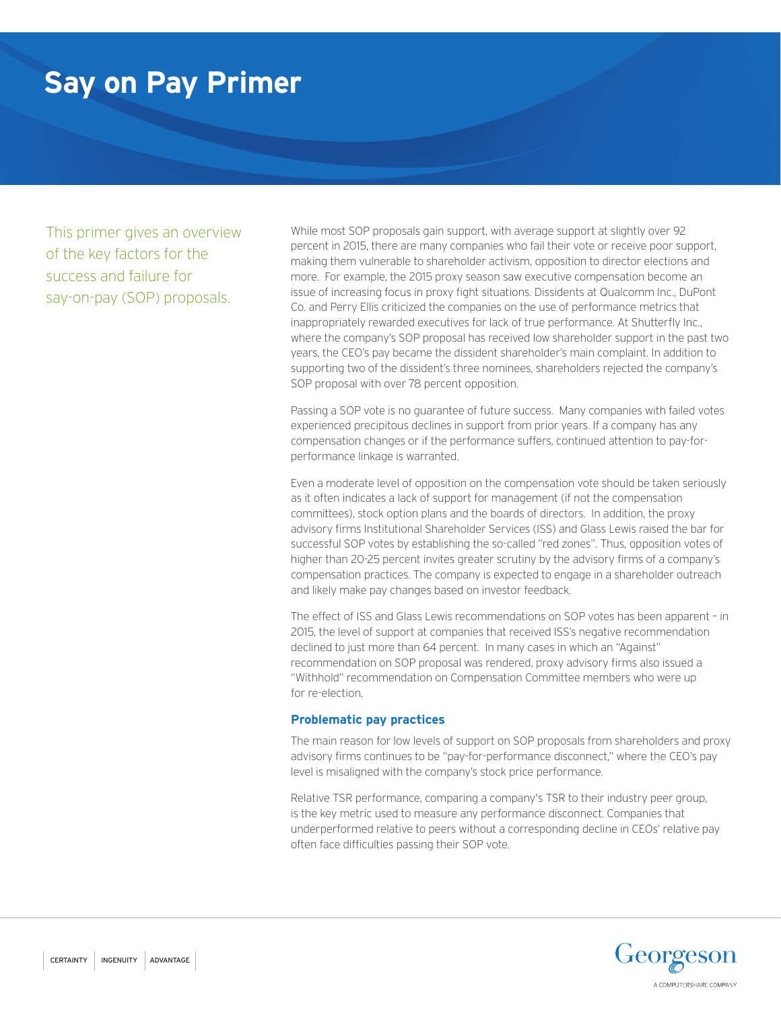# **Say on Pay Primer**

This primer gives an overview of the key factors for the success and failure for say-on-pay (SOP) proposals.

While most SOP proposals gain support, with average support at slightly over 92 percent in 2015, there are many companies who fail their vote or receive poor support, making them vulnerable to shareholder activism, opposition to director elections and more. For example, the 2015 proxy season saw executive compensation become an issue of increasing focus in proxy fight situations. Dissidents at Qualcomm Inc., DuPont Co. and Perry Ellis criticized the companies on the use of performance metrics that inappropriately rewarded executives for lack of true performance. At Shutterfly Inc., where the company's SOP proposal has received low shareholder support in the past two years, the CEO's pay became the dissident shareholder's main complaint. In addition to supporting two of the dissident's three nominees, shareholders rejected the company's SOP proposal with over 78 percent opposition.

Passing a SOP vote is no guarantee of future success. Many companies with failed votes experienced precipitous declines in support from prior years. If a company has any compensation changes or if the performance suffers, continued attention to pay-forperformance linkage is warranted.

Even a moderate level of opposition on the compensation vote should be taken seriously as it often indicates a lack of support for management (if not the compensation committees), stock option plans and the boards of directors. In addition, the proxy advisory firms Institutional Shareholder Services (ISS) and Glass Lewis raised the bar for successful SOP votes by establishing the so-called "red zones". Thus, opposition votes of higher than 20-25 percent invites greater scrutiny by the advisory firms of a company's compensation practices. The company is expected to engage in a shareholder outreach and likely make pay changes based on investor feedback.

The effect of ISS and Glass Lewis recommendations on SOP votes has been apparent – in 2015, the level of support at companies that received ISS's negative recommendation declined to just more than 64 percent. In many cases in which an "Against" recommendation on SOP proposal was rendered, proxy advisory firms also issued a "Withhold" recommendation on Compensation Committee members who were up for re-election.

## **Problematic pay practices**

The main reason for low levels of support on SOP proposals from shareholders and proxy advisory firms continues to be "pay-for-performance disconnect," where the CEO's pay level is misaligned with the company's stock price performance.

Relative TSR performance, comparing a company's TSR to their industry peer group, is the key metric used to measure any performance disconnect. Companies that underperformed relative to peers without a corresponding decline in CEOs' relative pay often face difficulties passing their SOP vote.

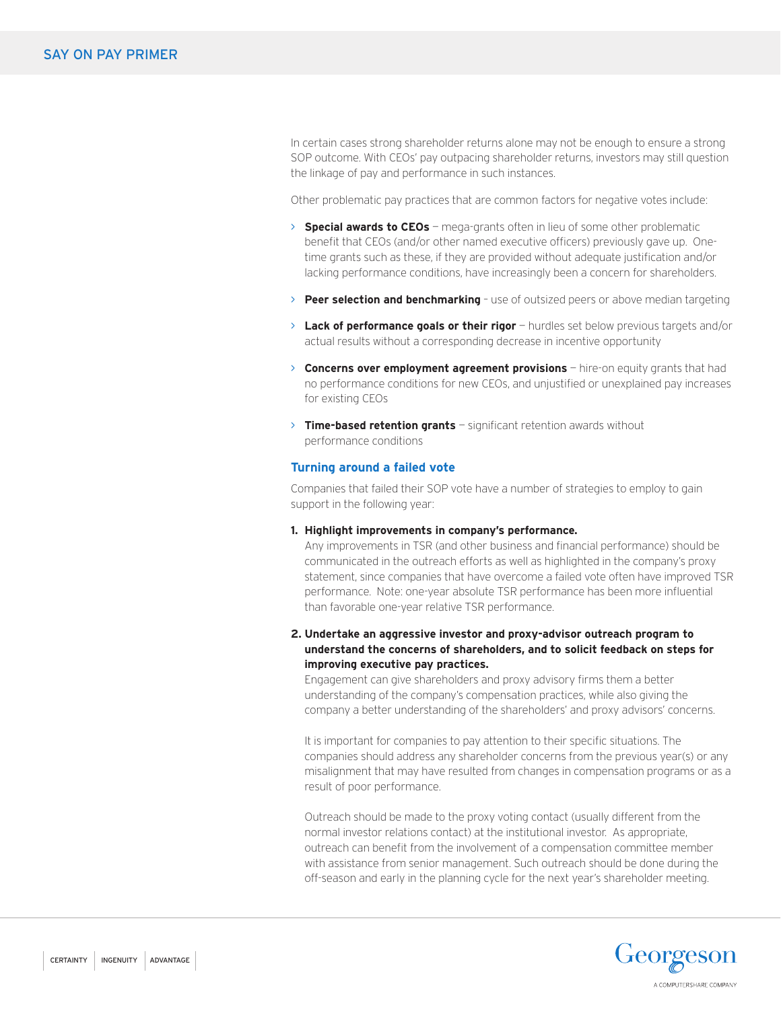In certain cases strong shareholder returns alone may not be enough to ensure a strong SOP outcome. With CEOs' pay outpacing shareholder returns, investors may still question the linkage of pay and performance in such instances.

Other problematic pay practices that are common factors for negative votes include:

- > **Special awards to CEOs** mega-grants often in lieu of some other problematic benefit that CEOs (and/or other named executive officers) previously gave up. Onetime grants such as these, if they are provided without adequate justification and/or lacking performance conditions, have increasingly been a concern for shareholders.
- > **Peer selection and benchmarking** use of outsized peers or above median targeting
- > **Lack of performance goals or their rigor** hurdles set below previous targets and/or actual results without a corresponding decrease in incentive opportunity
- > **Concerns over employment agreement provisions** hire-on equity grants that had no performance conditions for new CEOs, and unjustified or unexplained pay increases for existing CEOs
- > **Time-based retention grants** significant retention awards without performance conditions

#### **Turning around a failed vote**

Companies that failed their SOP vote have a number of strategies to employ to gain support in the following year:

**1. Highlight improvements in company's performance.** 

Any improvements in TSR (and other business and financial performance) should be communicated in the outreach efforts as well as highlighted in the company's proxy statement, since companies that have overcome a failed vote often have improved TSR performance. Note: one-year absolute TSR performance has been more influential than favorable one-year relative TSR performance.

# **2. Undertake an aggressive investor and proxy-advisor outreach program to understand the concerns of shareholders, and to solicit feedback on steps for improving executive pay practices.**

Engagement can give shareholders and proxy advisory firms them a better understanding of the company's compensation practices, while also giving the company a better understanding of the shareholders' and proxy advisors' concerns.

It is important for companies to pay attention to their specific situations. The companies should address any shareholder concerns from the previous year(s) or any misalignment that may have resulted from changes in compensation programs or as a result of poor performance.

Outreach should be made to the proxy voting contact (usually different from the normal investor relations contact) at the institutional investor. As appropriate, outreach can benefit from the involvement of a compensation committee member with assistance from senior management. Such outreach should be done during the off-season and early in the planning cycle for the next year's shareholder meeting.